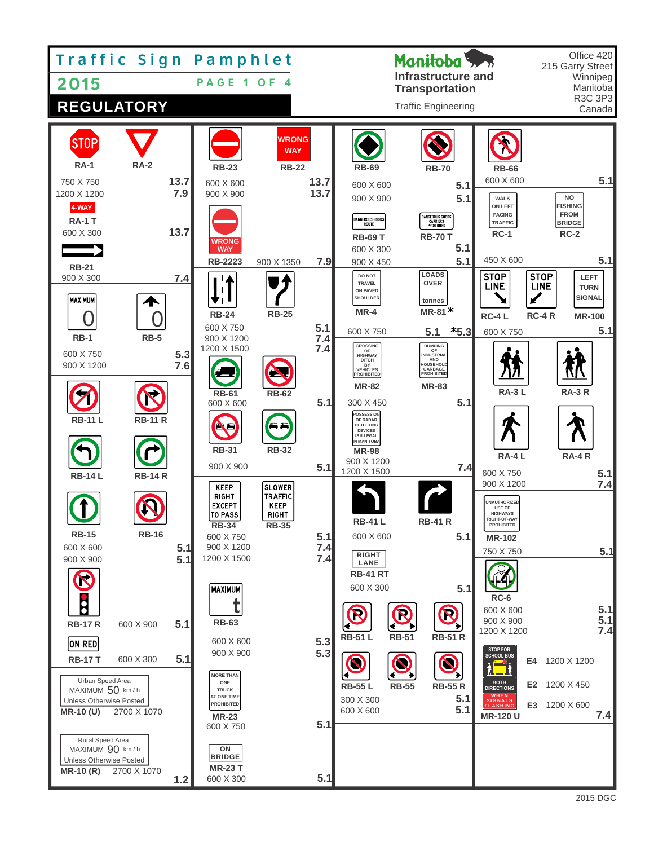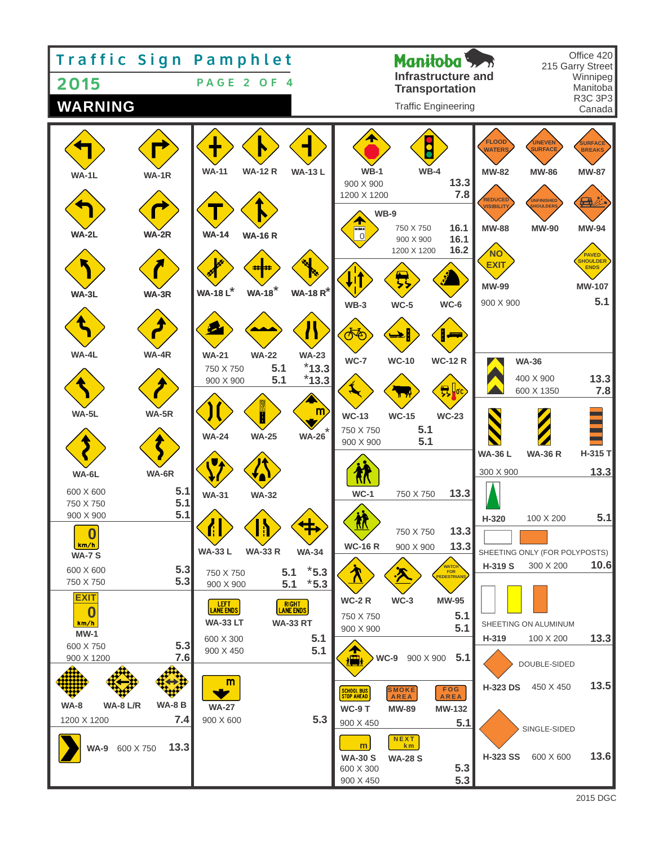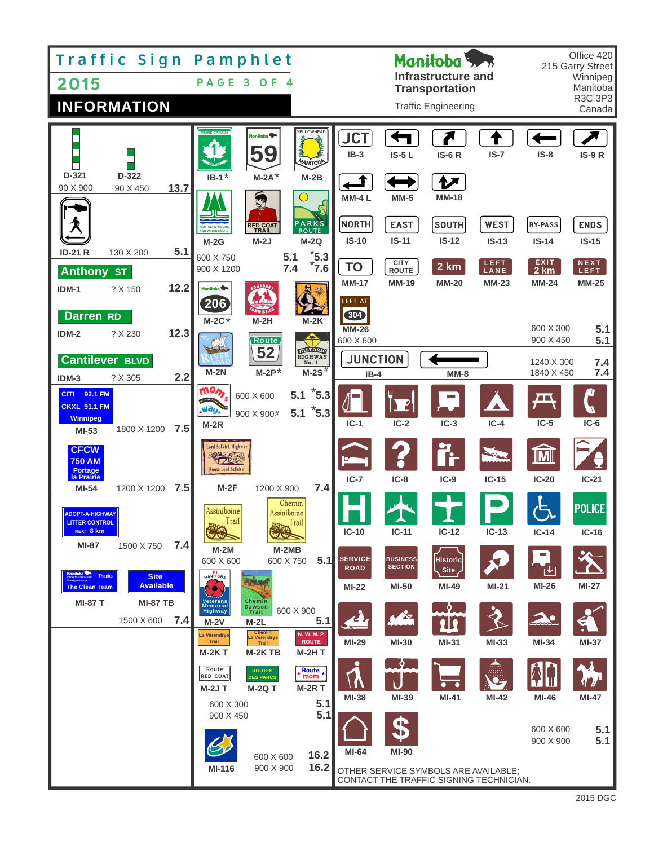| Traffic Sign Pamphlet<br>2015<br><b>INFORMATION</b>                                                                                 | PAGE 3<br>O F<br>- 4                                                                                                                                                                                                            | Manitoba 5.<br><b>Infrastructure and</b><br><b>Transportation</b><br><b>Traffic Engineering</b>                                                       | Office 420<br>215 Garry Street<br>Winnipeg<br>Manitoba<br>R3C 3P3<br>Canada |
|-------------------------------------------------------------------------------------------------------------------------------------|---------------------------------------------------------------------------------------------------------------------------------------------------------------------------------------------------------------------------------|-------------------------------------------------------------------------------------------------------------------------------------------------------|-----------------------------------------------------------------------------|
| D-321<br>D-322                                                                                                                      | YELLOWHEAD<br><b>TRANS-CANADA</b><br>Manitoba <sup>5</sup><br><b>MANITOBE</b><br>$M-2A^*$<br>$M-2B$<br>$IB-1"$                                                                                                                  | <b>JCT</b><br>$IB-3$<br>$IS-5L$<br><b>IS-6 R</b><br>$IS-7$                                                                                            | $IS-8$<br><b>IS-9 R</b>                                                     |
| 90 X 900<br>13.7<br>90 X 450                                                                                                        | $\mathbb{C}^p$<br><b>PARKS</b><br><b>RED COAT</b><br><b>AND WATER ROUTE</b><br>$M-2J$<br>$M-2Q$<br>$M-2G$                                                                                                                       | ヤ<br><b>MM-4L</b><br>$MM-5$<br><b>MM-18</b><br><b>NORTH</b><br><b>WEST</b><br><b>EAST</b><br><b>SOUTH</b><br>$IS-10$<br>$IS-11$<br>$IS-12$<br>$IS-13$ | <b>BY-PASS</b><br><b>ENDS</b><br>$IS-14$<br>$IS-15$                         |
| 5.1<br><b>ID-21 R</b><br>130 X 200<br><b>Anthony ST</b><br>12.2<br>$IDM-1$<br>? X 150                                               | $*_{7.6}$<br>7.6<br>5.1<br>600 X 750<br>7.4<br>900 X 1200<br><b>BOUNDARY</b><br>Manitoba <sup>9</sup><br>206                                                                                                                    | CITY<br>ROUTE<br>LEFT<br>LANE<br><b>TO</b><br>2 km<br><b>MM-17</b><br><b>MM-20</b><br><b>MM-23</b><br><b>MM-19</b><br><b>LEFT AT</b>                  | <b>EXIT</b><br>NEXT<br><b>LEFT</b><br>2 km<br><b>MM-24</b><br><b>MM-25</b>  |
| <b>Darren</b> RD<br>12.3<br>? X 230<br>$IDM-2$<br><b>Cantilever BLVD</b>                                                            | $M-2C*$<br>$M-2H$<br>$M-2K$<br>Route<br><b>RISTORIC</b><br>52<br><b>HIGHWAY</b><br>No. 1                                                                                                                                        | 304<br>$MM-26$<br>600 X 600<br><b>JUNCTION</b>                                                                                                        | 600 X 300<br>5.1<br>5.1<br>900 X 450<br>1240 X 300<br>7.4                   |
| 2.2<br>$IDM-3$<br>? X 305<br>CITI 92.1 FM<br><b>CKXL 91.1 FM</b><br><b>Winnipeg</b><br>7.5<br>1800 X 1200<br>$MI-53$                | $M-2S^{\overline{\#}}$<br>$M-2P^*$<br>$M-2N$<br>mom<br>$5.1$ 5.3<br>600 X 600<br><b>PANT</b><br>Way,<br>$\boldsymbol{z}_{5.3}$<br>5.1<br>900 X 900#<br>$M-2R$                                                                   | $IB-4$<br>$MM-8$<br>$IC-2$<br>$IC-3$<br>$IC-4$<br>$IC-1$                                                                                              | 7.4<br>1840 X 450<br>Æ<br>$IC-5$<br>$IC-6$                                  |
| <b>CFCW</b><br><b>750 AM</b><br><b>Portage</b><br>la Prairie<br>7.5<br>MI-54<br>1200 X 1200                                         | Lord Selkirk Highway<br><b>Route Lord Selkirk</b><br>$M-2F$<br>7.4<br>1200 X 900                                                                                                                                                | $IC-7$<br>$IC-8$<br>$IC-15$<br>$IC-9$                                                                                                                 | $IC-20$<br>$IC-21$                                                          |
| <b>ADOPT-A-HIGHWAY</b><br><b>LITTER CONTROL</b><br>NEXT 8 km<br>7.4<br>MI-87<br>1500 X 750                                          | Chemin<br>Assiniboine<br>Assiniboine<br>Trail<br>Trail<br><b>ART AND :</b><br>$M-2M$<br>$M-2MB$                                                                                                                                 | $IC-10$<br>$IC-11$<br>$IC-12$<br>$IC-13$<br><b>SERVICE</b><br><b>BUSINESS</b>                                                                         | POLICE<br>$IC-14$<br>$IC-16$                                                |
| <b>Thanks</b><br><b>Site</b><br><b>Available</b><br><b>The Clean Team</b><br><b>MI-87 T</b><br><b>MI-87 TB</b><br>7.4<br>1500 X 600 | 5.1<br>600 X 600<br>600 X 750<br>$M$ ANITO $B_A$<br>Chemin<br>Dawson<br>Trail<br>Veterans<br>Memorial<br>Highway<br>600 X 900<br>5.1<br>$M-2V$<br>$M-2L$                                                                        | <b>Historic</b><br><b>SECTION</b><br><b>ROAD</b><br>Site,<br>MI-50<br>MI-49<br>MI-21<br><b>MI-22</b><br>9.                                            | MI-26<br><b>MI-27</b>                                                       |
|                                                                                                                                     | Chemin<br>La Vérendrye<br>N. W. M. P.<br>La Vérendrye<br><b>ROUTE</b><br>Trail<br>Trail<br><b>M-2KT</b><br>M-2KTB<br><b>M-2HT</b><br>Route<br>Route $\star$ mom $\star$<br><b>ROUTES</b><br><b>RED COAT</b><br><b>DES PARCS</b> | MI-29<br>MI-30<br>MI-31<br>$MI-33$<br>$\ddot{\bm{\circ}}$<br>$\bullet\quad\bullet$                                                                    | MI-34<br>MI-37<br><b>SF 7</b>                                               |
|                                                                                                                                     | <b>M-2RT</b><br><b>M-2JT</b><br><b>M-2Q T</b><br>5.1<br>600 X 300<br>5.1<br>900 X 450                                                                                                                                           | MI-38<br>MI-39<br>MI-42<br>MI-41<br>MI-64<br>MI-90                                                                                                    | MI-47<br>MI-46<br>600 X 600<br>5.1<br>5.1<br>900 X 900                      |
|                                                                                                                                     | 16.2<br>600 X 600<br>16.2<br>900 X 900<br>MI-116<br>OTHER SERVICE SYMBOLS ARE AVAILABLE;<br>CONTACT THE TRAFFIC SIGNING TECHNICIAN.                                                                                             |                                                                                                                                                       |                                                                             |